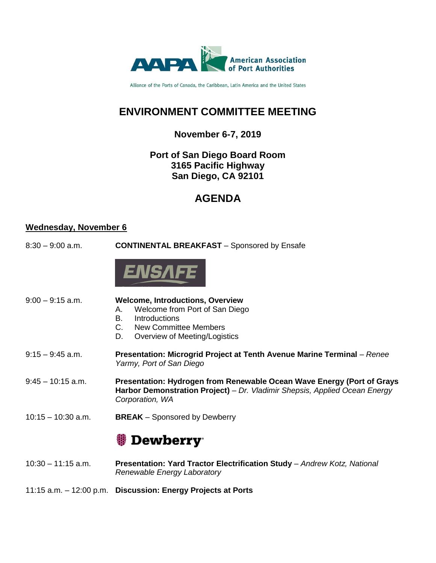

Alliance of the Ports of Canada, the Caribbean, Latin America and the United States

## **ENVIRONMENT COMMITTEE MEETING**

### **November 6-7, 2019**

### **Port of San Diego Board Room 3165 Pacific Highway San Diego, CA 92101**

## **AGENDA**

### **Wednesday, November 6**

8:30 – 9:00 a.m. **CONTINENTAL BREAKFAST** – Sponsored by Ensafe



| $9:00 - 9:15$ a.m.   | <b>Welcome, Introductions, Overview</b><br>Welcome from Port of San Diego<br>А.<br>В.<br>Introductions<br>New Committee Members<br>C.<br>D.<br>Overview of Meeting/Logistics |
|----------------------|------------------------------------------------------------------------------------------------------------------------------------------------------------------------------|
| $9:15 - 9:45$ a.m.   | Presentation: Microgrid Project at Tenth Avenue Marine Terminal - Renee<br>Yarmy, Port of San Diego                                                                          |
| $9:45 - 10:15$ a.m.  | Presentation: Hydrogen from Renewable Ocean Wave Energy (Port of Grays<br>Harbor Demonstration Project) – Dr. Vladimir Shepsis, Applied Ocean Energy<br>Corporation, WA      |
| $10:15 - 10:30$ a.m. | <b>BREAK</b> – Sponsored by Dewberry                                                                                                                                         |
|                      | Dewberry                                                                                                                                                                     |
| $10:30 - 11:15$ a.m. | Presentation: Yard Tractor Electrification Study - Andrew Kotz, National<br>Renewable Energy Laboratory                                                                      |

11:15 a.m. – 12:00 p.m. **Discussion: Energy Projects at Ports**